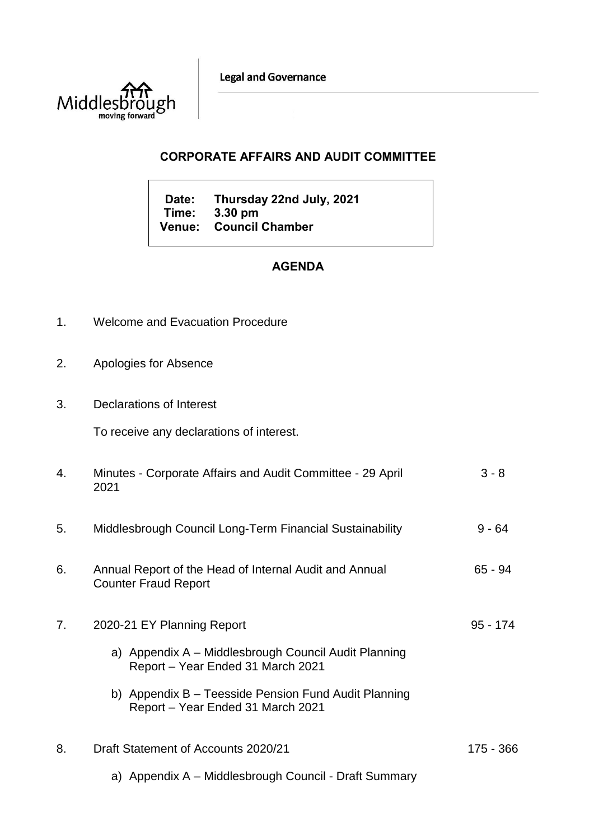**Legal and Governance** 



## **CORPORATE AFFAIRS AND AUDIT COMMITTEE**

**Date: Thursday 22nd July, 2021 Time: 3.30 pm Venue: Council Chamber**

## **AGENDA**

- 1. Welcome and Evacuation Procedure
- 2. Apologies for Absence
- 3. Declarations of Interest

To receive any declarations of interest.

| 4. | Minutes - Corporate Affairs and Audit Committee - 29 April<br>2021                                                                                                                                                   | $3 - 8$    |
|----|----------------------------------------------------------------------------------------------------------------------------------------------------------------------------------------------------------------------|------------|
| 5. | Middlesbrough Council Long-Term Financial Sustainability                                                                                                                                                             | $9 - 64$   |
| 6. | Annual Report of the Head of Internal Audit and Annual<br><b>Counter Fraud Report</b>                                                                                                                                | 65 - 94    |
| 7. | 2020-21 EY Planning Report<br>a) Appendix A - Middlesbrough Council Audit Planning<br>Report - Year Ended 31 March 2021<br>b) Appendix B – Teesside Pension Fund Audit Planning<br>Report – Year Ended 31 March 2021 | $95 - 174$ |
| 8. | Draft Statement of Accounts 2020/21<br>a) Appendix A – Middlesbrough Council - Draft Summary                                                                                                                         | 175 - 366  |